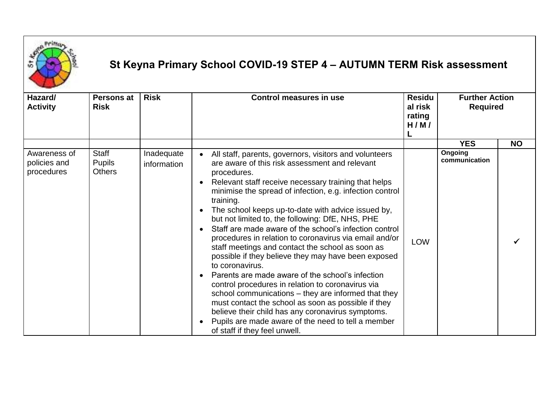

## **St Keyna Primary School COVID-19 STEP 4 – AUTUMN TERM Risk assessment**

| Hazard/<br><b>Activity</b>                 | <b>Persons at</b><br><b>Risk</b>        | <b>Risk</b>               | <b>Control measures in use</b>                                                                                                                                                                                                                                                                                                                                                                                                                                                                                                                                                                                                                                                                                                                                                                                                                                                                                                                                                          | <b>Residu</b><br>al risk<br>rating<br>H/M/ | <b>Further Action</b><br><b>Required</b> |           |
|--------------------------------------------|-----------------------------------------|---------------------------|-----------------------------------------------------------------------------------------------------------------------------------------------------------------------------------------------------------------------------------------------------------------------------------------------------------------------------------------------------------------------------------------------------------------------------------------------------------------------------------------------------------------------------------------------------------------------------------------------------------------------------------------------------------------------------------------------------------------------------------------------------------------------------------------------------------------------------------------------------------------------------------------------------------------------------------------------------------------------------------------|--------------------------------------------|------------------------------------------|-----------|
|                                            |                                         |                           |                                                                                                                                                                                                                                                                                                                                                                                                                                                                                                                                                                                                                                                                                                                                                                                                                                                                                                                                                                                         |                                            | <b>YES</b>                               | <b>NO</b> |
| Awareness of<br>policies and<br>procedures | Staff<br><b>Pupils</b><br><b>Others</b> | Inadequate<br>information | All staff, parents, governors, visitors and volunteers<br>are aware of this risk assessment and relevant<br>procedures.<br>Relevant staff receive necessary training that helps<br>minimise the spread of infection, e.g. infection control<br>training.<br>The school keeps up-to-date with advice issued by,<br>but not limited to, the following: DfE, NHS, PHE<br>Staff are made aware of the school's infection control<br>procedures in relation to coronavirus via email and/or<br>staff meetings and contact the school as soon as<br>possible if they believe they may have been exposed<br>to coronavirus.<br>Parents are made aware of the school's infection<br>control procedures in relation to coronavirus via<br>school communications – they are informed that they<br>must contact the school as soon as possible if they<br>believe their child has any coronavirus symptoms.<br>Pupils are made aware of the need to tell a member<br>of staff if they feel unwell. | <b>LOW</b>                                 | Ongoing<br>communication                 |           |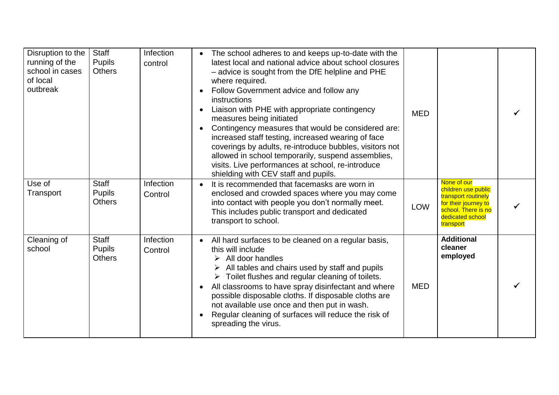| Disruption to the<br>running of the<br>school in cases<br>of local<br>outbreak | <b>Staff</b><br><b>Pupils</b><br><b>Others</b> | Infection<br>control | The school adheres to and keeps up-to-date with the<br>$\bullet$<br>latest local and national advice about school closures<br>- advice is sought from the DfE helpline and PHE<br>where required.<br>Follow Government advice and follow any<br>instructions<br>Liaison with PHE with appropriate contingency<br>measures being initiated<br>Contingency measures that would be considered are:<br>increased staff testing, increased wearing of face<br>coverings by adults, re-introduce bubbles, visitors not<br>allowed in school temporarily, suspend assemblies,<br>visits. Live performances at school, re-introduce<br>shielding with CEV staff and pupils. | <b>MED</b> |                                                                                                                                           |  |
|--------------------------------------------------------------------------------|------------------------------------------------|----------------------|---------------------------------------------------------------------------------------------------------------------------------------------------------------------------------------------------------------------------------------------------------------------------------------------------------------------------------------------------------------------------------------------------------------------------------------------------------------------------------------------------------------------------------------------------------------------------------------------------------------------------------------------------------------------|------------|-------------------------------------------------------------------------------------------------------------------------------------------|--|
| Use of<br>Transport                                                            | Staff<br><b>Pupils</b><br><b>Others</b>        | Infection<br>Control | It is recommended that facemasks are worn in<br>$\bullet$<br>enclosed and crowded spaces where you may come<br>into contact with people you don't normally meet.<br>This includes public transport and dedicated<br>transport to school.                                                                                                                                                                                                                                                                                                                                                                                                                            | LOW        | None of our<br>children use public<br>transport routinely<br>for their journey to<br>school. There is no<br>dedicated school<br>transport |  |
| Cleaning of<br>school                                                          | <b>Staff</b><br><b>Pupils</b><br><b>Others</b> | Infection<br>Control | All hard surfaces to be cleaned on a regular basis,<br>this will include<br>$\triangleright$ All door handles<br>All tables and chairs used by staff and pupils<br>$\triangleright$ Toilet flushes and regular cleaning of toilets.<br>All classrooms to have spray disinfectant and where<br>possible disposable cloths. If disposable cloths are<br>not available use once and then put in wash.<br>Regular cleaning of surfaces will reduce the risk of<br>spreading the virus.                                                                                                                                                                                  | <b>MED</b> | <b>Additional</b><br>cleaner<br>employed                                                                                                  |  |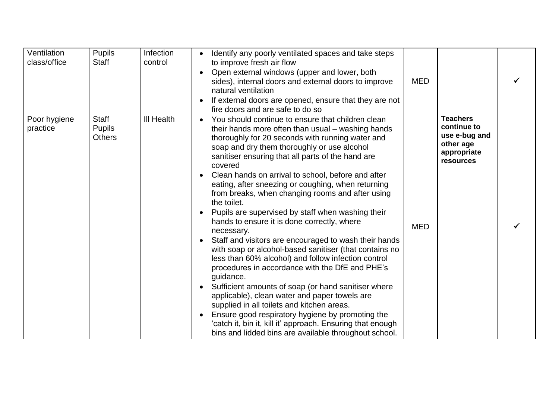| Ventilation<br>class/office | <b>Pupils</b><br><b>Staff</b>                  | Infection<br>control | Identify any poorly ventilated spaces and take steps<br>to improve fresh air flow<br>Open external windows (upper and lower, both<br>sides), internal doors and external doors to improve<br>natural ventilation<br>If external doors are opened, ensure that they are not<br>fire doors and are safe to do so                                                                                                                                                                                                                                                                                                                                                                                                                                                                                                                                                                                                                                                                                                                                                                                                                                                                  | <b>MED</b> |                                                                                          |  |
|-----------------------------|------------------------------------------------|----------------------|---------------------------------------------------------------------------------------------------------------------------------------------------------------------------------------------------------------------------------------------------------------------------------------------------------------------------------------------------------------------------------------------------------------------------------------------------------------------------------------------------------------------------------------------------------------------------------------------------------------------------------------------------------------------------------------------------------------------------------------------------------------------------------------------------------------------------------------------------------------------------------------------------------------------------------------------------------------------------------------------------------------------------------------------------------------------------------------------------------------------------------------------------------------------------------|------------|------------------------------------------------------------------------------------------|--|
| Poor hygiene<br>practice    | <b>Staff</b><br><b>Pupils</b><br><b>Others</b> | <b>III Health</b>    | You should continue to ensure that children clean<br>$\bullet$<br>their hands more often than usual – washing hands<br>thoroughly for 20 seconds with running water and<br>soap and dry them thoroughly or use alcohol<br>sanitiser ensuring that all parts of the hand are<br>covered<br>Clean hands on arrival to school, before and after<br>eating, after sneezing or coughing, when returning<br>from breaks, when changing rooms and after using<br>the toilet.<br>Pupils are supervised by staff when washing their<br>hands to ensure it is done correctly, where<br>necessary.<br>Staff and visitors are encouraged to wash their hands<br>$\bullet$<br>with soap or alcohol-based sanitiser (that contains no<br>less than 60% alcohol) and follow infection control<br>procedures in accordance with the DfE and PHE's<br>guidance.<br>Sufficient amounts of soap (or hand sanitiser where<br>applicable), clean water and paper towels are<br>supplied in all toilets and kitchen areas.<br>Ensure good respiratory hygiene by promoting the<br>'catch it, bin it, kill it' approach. Ensuring that enough<br>bins and lidded bins are available throughout school. | <b>MED</b> | <b>Teachers</b><br>continue to<br>use e-bug and<br>other age<br>appropriate<br>resources |  |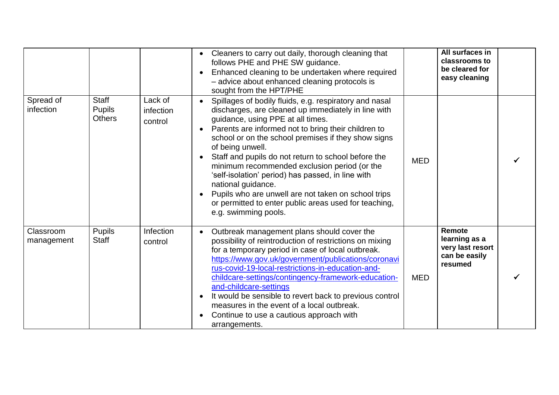|                         |                                                |                                 | Cleaners to carry out daily, thorough cleaning that<br>follows PHE and PHE SW guidance.<br>Enhanced cleaning to be undertaken where required<br>- advice about enhanced cleaning protocols is<br>sought from the HPT/PHE                                                                                                                                                                                                                                                                                                                                                                                       |            | All surfaces in<br>classrooms to<br>be cleared for<br>easy cleaning     |  |
|-------------------------|------------------------------------------------|---------------------------------|----------------------------------------------------------------------------------------------------------------------------------------------------------------------------------------------------------------------------------------------------------------------------------------------------------------------------------------------------------------------------------------------------------------------------------------------------------------------------------------------------------------------------------------------------------------------------------------------------------------|------------|-------------------------------------------------------------------------|--|
| Spread of<br>infection  | <b>Staff</b><br><b>Pupils</b><br><b>Others</b> | Lack of<br>infection<br>control | Spillages of bodily fluids, e.g. respiratory and nasal<br>discharges, are cleaned up immediately in line with<br>guidance, using PPE at all times.<br>Parents are informed not to bring their children to<br>school or on the school premises if they show signs<br>of being unwell.<br>Staff and pupils do not return to school before the<br>minimum recommended exclusion period (or the<br>'self-isolation' period) has passed, in line with<br>national guidance.<br>Pupils who are unwell are not taken on school trips<br>or permitted to enter public areas used for teaching,<br>e.g. swimming pools. | <b>MED</b> |                                                                         |  |
| Classroom<br>management | <b>Pupils</b><br><b>Staff</b>                  | Infection<br>control            | Outbreak management plans should cover the<br>possibility of reintroduction of restrictions on mixing<br>for a temporary period in case of local outbreak.<br>https://www.gov.uk/government/publications/coronavi<br>rus-covid-19-local-restrictions-in-education-and-<br>childcare-settings/contingency-framework-education-<br>and-childcare-settings<br>It would be sensible to revert back to previous control<br>measures in the event of a local outbreak.<br>Continue to use a cautious approach with<br>arrangements.                                                                                  | <b>MED</b> | Remote<br>learning as a<br>very last resort<br>can be easily<br>resumed |  |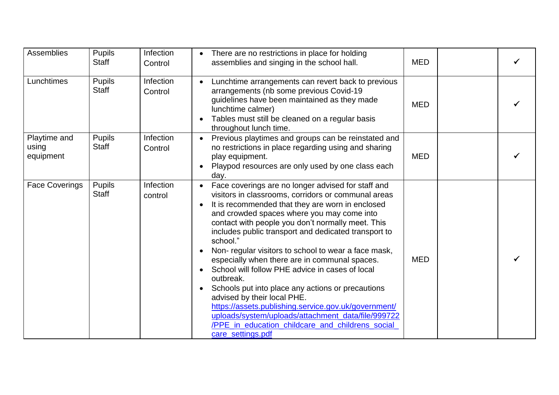| <b>Assemblies</b>                  | <b>Pupils</b><br><b>Staff</b> | Infection<br>Control | There are no restrictions in place for holding<br>$\bullet$<br>assemblies and singing in the school hall.                                                                                                                                                                                                                                                                                                                                                                                                                                                                                                                                                                                                                                                                                            | <b>MED</b> |  |
|------------------------------------|-------------------------------|----------------------|------------------------------------------------------------------------------------------------------------------------------------------------------------------------------------------------------------------------------------------------------------------------------------------------------------------------------------------------------------------------------------------------------------------------------------------------------------------------------------------------------------------------------------------------------------------------------------------------------------------------------------------------------------------------------------------------------------------------------------------------------------------------------------------------------|------------|--|
| Lunchtimes                         | <b>Pupils</b><br><b>Staff</b> | Infection<br>Control | Lunchtime arrangements can revert back to previous<br>arrangements (nb some previous Covid-19<br>guidelines have been maintained as they made<br>lunchtime calmer)<br>Tables must still be cleaned on a regular basis<br>throughout lunch time.                                                                                                                                                                                                                                                                                                                                                                                                                                                                                                                                                      | <b>MED</b> |  |
| Playtime and<br>using<br>equipment | <b>Pupils</b><br><b>Staff</b> | Infection<br>Control | Previous playtimes and groups can be reinstated and<br>no restrictions in place regarding using and sharing<br>play equipment.<br>Playpod resources are only used by one class each<br>day.                                                                                                                                                                                                                                                                                                                                                                                                                                                                                                                                                                                                          | <b>MED</b> |  |
| <b>Face Coverings</b>              | <b>Pupils</b><br>Staff        | Infection<br>control | Face coverings are no longer advised for staff and<br>$\bullet$<br>visitors in classrooms, corridors or communal areas<br>It is recommended that they are worn in enclosed<br>and crowded spaces where you may come into<br>contact with people you don't normally meet. This<br>includes public transport and dedicated transport to<br>school."<br>Non-regular visitors to school to wear a face mask,<br>especially when there are in communal spaces.<br>School will follow PHE advice in cases of local<br>outbreak.<br>Schools put into place any actions or precautions<br>advised by their local PHE.<br>https://assets.publishing.service.gov.uk/government/<br>uploads/system/uploads/attachment_data/file/999722<br>/PPE in education childcare and childrens social<br>care settings.pdf | <b>MED</b> |  |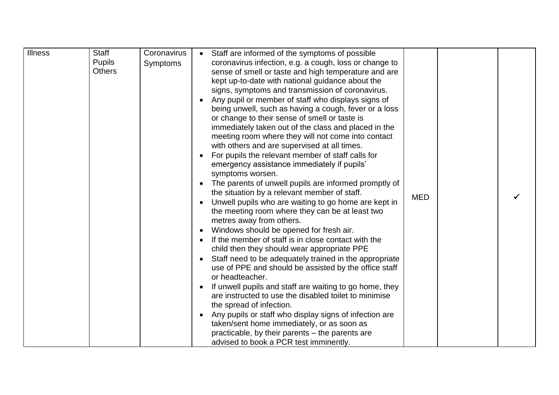| <b>Illness</b> | <b>Staff</b><br><b>Pupils</b><br><b>Others</b> | Coronavirus<br><b>Symptoms</b> | Staff are informed of the symptoms of possible<br>coronavirus infection, e.g. a cough, loss or change to<br>sense of smell or taste and high temperature and are<br>kept up-to-date with national guidance about the<br>signs, symptoms and transmission of coronavirus.<br>Any pupil or member of staff who displays signs of<br>being unwell, such as having a cough, fever or a loss<br>or change to their sense of smell or taste is<br>immediately taken out of the class and placed in the<br>meeting room where they will not come into contact<br>with others and are supervised at all times.<br>For pupils the relevant member of staff calls for<br>emergency assistance immediately if pupils'<br>symptoms worsen.<br>The parents of unwell pupils are informed promptly of<br>the situation by a relevant member of staff.<br><b>MED</b><br>Unwell pupils who are waiting to go home are kept in<br>the meeting room where they can be at least two<br>metres away from others.<br>Windows should be opened for fresh air.<br>If the member of staff is in close contact with the<br>child then they should wear appropriate PPE<br>Staff need to be adequately trained in the appropriate<br>use of PPE and should be assisted by the office staff<br>or headteacher.<br>If unwell pupils and staff are waiting to go home, they<br>are instructed to use the disabled toilet to minimise |  |
|----------------|------------------------------------------------|--------------------------------|---------------------------------------------------------------------------------------------------------------------------------------------------------------------------------------------------------------------------------------------------------------------------------------------------------------------------------------------------------------------------------------------------------------------------------------------------------------------------------------------------------------------------------------------------------------------------------------------------------------------------------------------------------------------------------------------------------------------------------------------------------------------------------------------------------------------------------------------------------------------------------------------------------------------------------------------------------------------------------------------------------------------------------------------------------------------------------------------------------------------------------------------------------------------------------------------------------------------------------------------------------------------------------------------------------------------------------------------------------------------------------------------------------|--|
|                |                                                |                                | the spread of infection.<br>Any pupils or staff who display signs of infection are<br>taken/sent home immediately, or as soon as<br>practicable, by their parents – the parents are<br>advised to book a PCR test imminently.                                                                                                                                                                                                                                                                                                                                                                                                                                                                                                                                                                                                                                                                                                                                                                                                                                                                                                                                                                                                                                                                                                                                                                           |  |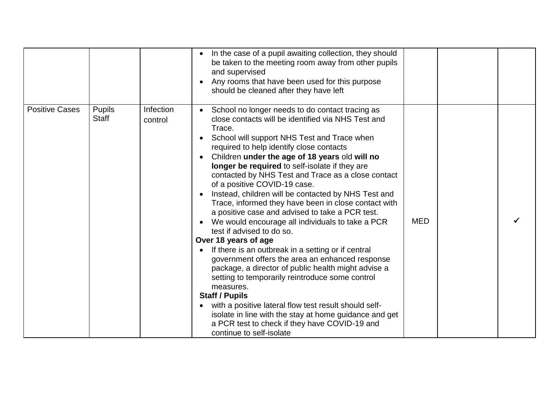|                       |                               |                      | In the case of a pupil awaiting collection, they should<br>be taken to the meeting room away from other pupils<br>and supervised<br>Any rooms that have been used for this purpose<br>should be cleaned after they have left                                                                                                                                                                                                                                                                                                                                                                                                                                                                                                                                                                                                                                                                                                                                                                                                                                                                                                             |            |  |
|-----------------------|-------------------------------|----------------------|------------------------------------------------------------------------------------------------------------------------------------------------------------------------------------------------------------------------------------------------------------------------------------------------------------------------------------------------------------------------------------------------------------------------------------------------------------------------------------------------------------------------------------------------------------------------------------------------------------------------------------------------------------------------------------------------------------------------------------------------------------------------------------------------------------------------------------------------------------------------------------------------------------------------------------------------------------------------------------------------------------------------------------------------------------------------------------------------------------------------------------------|------------|--|
| <b>Positive Cases</b> | <b>Pupils</b><br><b>Staff</b> | Infection<br>control | School no longer needs to do contact tracing as<br>close contacts will be identified via NHS Test and<br>Trace.<br>School will support NHS Test and Trace when<br>required to help identify close contacts<br>Children under the age of 18 years old will no<br>longer be required to self-isolate if they are<br>contacted by NHS Test and Trace as a close contact<br>of a positive COVID-19 case.<br>Instead, children will be contacted by NHS Test and<br>Trace, informed they have been in close contact with<br>a positive case and advised to take a PCR test.<br>We would encourage all individuals to take a PCR<br>test if advised to do so.<br>Over 18 years of age<br>If there is an outbreak in a setting or if central<br>government offers the area an enhanced response<br>package, a director of public health might advise a<br>setting to temporarily reintroduce some control<br>measures.<br><b>Staff / Pupils</b><br>with a positive lateral flow test result should self-<br>isolate in line with the stay at home guidance and get<br>a PCR test to check if they have COVID-19 and<br>continue to self-isolate | <b>MED</b> |  |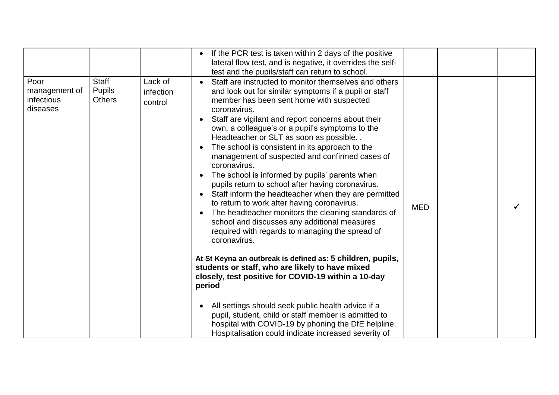|                                                 |                                                |                                 | If the PCR test is taken within 2 days of the positive<br>lateral flow test, and is negative, it overrides the self-<br>test and the pupils/staff can return to school.                                                                                                                                                                                                                                                                                                                                                                                                                                                                                                                                                                                                                                                                                                                                                                                                                                                                                                                                                                                                                                                                                               |            |  |
|-------------------------------------------------|------------------------------------------------|---------------------------------|-----------------------------------------------------------------------------------------------------------------------------------------------------------------------------------------------------------------------------------------------------------------------------------------------------------------------------------------------------------------------------------------------------------------------------------------------------------------------------------------------------------------------------------------------------------------------------------------------------------------------------------------------------------------------------------------------------------------------------------------------------------------------------------------------------------------------------------------------------------------------------------------------------------------------------------------------------------------------------------------------------------------------------------------------------------------------------------------------------------------------------------------------------------------------------------------------------------------------------------------------------------------------|------------|--|
| Poor<br>management of<br>infectious<br>diseases | <b>Staff</b><br><b>Pupils</b><br><b>Others</b> | Lack of<br>infection<br>control | Staff are instructed to monitor themselves and others<br>and look out for similar symptoms if a pupil or staff<br>member has been sent home with suspected<br>coronavirus.<br>Staff are vigilant and report concerns about their<br>own, a colleague's or a pupil's symptoms to the<br>Headteacher or SLT as soon as possible<br>The school is consistent in its approach to the<br>management of suspected and confirmed cases of<br>coronavirus.<br>The school is informed by pupils' parents when<br>pupils return to school after having coronavirus.<br>Staff inform the headteacher when they are permitted<br>$\bullet$<br>to return to work after having coronavirus.<br>The headteacher monitors the cleaning standards of<br>school and discusses any additional measures<br>required with regards to managing the spread of<br>coronavirus.<br>At St Keyna an outbreak is defined as: 5 children, pupils,<br>students or staff, who are likely to have mixed<br>closely, test positive for COVID-19 within a 10-day<br>period<br>All settings should seek public health advice if a<br>pupil, student, child or staff member is admitted to<br>hospital with COVID-19 by phoning the DfE helpline.<br>Hospitalisation could indicate increased severity of | <b>MED</b> |  |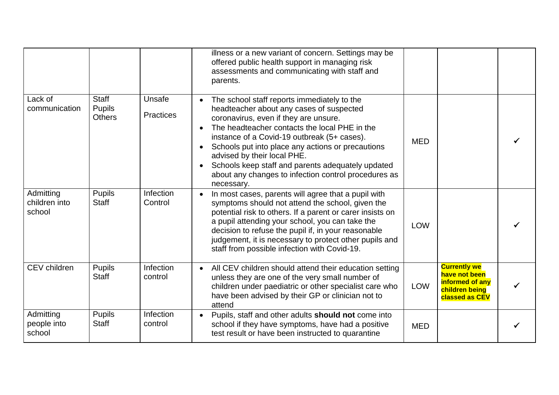|                                      |                                                |                            | illness or a new variant of concern. Settings may be<br>offered public health support in managing risk<br>assessments and communicating with staff and<br>parents.                                                                                                                                                                                                                                                                              |            |                                                                                                    |  |
|--------------------------------------|------------------------------------------------|----------------------------|-------------------------------------------------------------------------------------------------------------------------------------------------------------------------------------------------------------------------------------------------------------------------------------------------------------------------------------------------------------------------------------------------------------------------------------------------|------------|----------------------------------------------------------------------------------------------------|--|
| Lack of<br>communication             | <b>Staff</b><br><b>Pupils</b><br><b>Others</b> | Unsafe<br><b>Practices</b> | The school staff reports immediately to the<br>headteacher about any cases of suspected<br>coronavirus, even if they are unsure.<br>The headteacher contacts the local PHE in the<br>instance of a Covid-19 outbreak (5+ cases).<br>Schools put into place any actions or precautions<br>advised by their local PHE.<br>Schools keep staff and parents adequately updated<br>about any changes to infection control procedures as<br>necessary. | <b>MED</b> |                                                                                                    |  |
| Admitting<br>children into<br>school | <b>Pupils</b><br><b>Staff</b>                  | Infection<br>Control       | In most cases, parents will agree that a pupil with<br>symptoms should not attend the school, given the<br>potential risk to others. If a parent or carer insists on<br>a pupil attending your school, you can take the<br>decision to refuse the pupil if, in your reasonable<br>judgement, it is necessary to protect other pupils and<br>staff from possible infection with Covid-19.                                                        | <b>LOW</b> |                                                                                                    |  |
| CEV children                         | <b>Pupils</b><br><b>Staff</b>                  | Infection<br>control       | All CEV children should attend their education setting<br>unless they are one of the very small number of<br>children under paediatric or other specialist care who<br>have been advised by their GP or clinician not to<br>attend                                                                                                                                                                                                              | <b>LOW</b> | <b>Currently we</b><br>have not been<br>informed of any<br>children being<br><b>classed as CEV</b> |  |
| Admitting<br>people into<br>school   | <b>Pupils</b><br><b>Staff</b>                  | Infection<br>control       | Pupils, staff and other adults should not come into<br>school if they have symptoms, have had a positive<br>test result or have been instructed to quarantine                                                                                                                                                                                                                                                                                   | <b>MED</b> |                                                                                                    |  |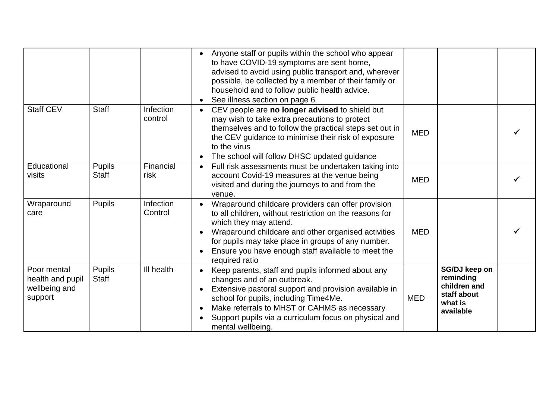|                                                             |                               |                             | Anyone staff or pupils within the school who appear<br>to have COVID-19 symptoms are sent home,<br>advised to avoid using public transport and, wherever<br>possible, be collected by a member of their family or<br>household and to follow public health advice.<br>See illness section on page 6                          |            |                                                                                   |  |
|-------------------------------------------------------------|-------------------------------|-----------------------------|------------------------------------------------------------------------------------------------------------------------------------------------------------------------------------------------------------------------------------------------------------------------------------------------------------------------------|------------|-----------------------------------------------------------------------------------|--|
| <b>Staff CEV</b>                                            | <b>Staff</b>                  | <b>Infection</b><br>control | CEV people are no longer advised to shield but<br>may wish to take extra precautions to protect<br>themselves and to follow the practical steps set out in<br>the CEV guidance to minimise their risk of exposure<br>to the virus<br>The school will follow DHSC updated guidance                                            | <b>MED</b> |                                                                                   |  |
| Educational<br>visits                                       | <b>Pupils</b><br><b>Staff</b> | Financial<br>risk           | Full risk assessments must be undertaken taking into<br>account Covid-19 measures at the venue being<br>visited and during the journeys to and from the<br>venue.                                                                                                                                                            | <b>MED</b> |                                                                                   |  |
| Wraparound<br>care                                          | <b>Pupils</b>                 | Infection<br>Control        | Wraparound childcare providers can offer provision<br>to all children, without restriction on the reasons for<br>which they may attend.<br>Wraparound childcare and other organised activities<br>for pupils may take place in groups of any number.<br>Ensure you have enough staff available to meet the<br>required ratio | <b>MED</b> |                                                                                   |  |
| Poor mental<br>health and pupil<br>wellbeing and<br>support | <b>Pupils</b><br><b>Staff</b> | III health                  | Keep parents, staff and pupils informed about any<br>changes and of an outbreak.<br>Extensive pastoral support and provision available in<br>school for pupils, including Time4Me.<br>Make referrals to MHST or CAHMS as necessary<br>Support pupils via a curriculum focus on physical and<br>mental wellbeing.             | <b>MED</b> | SG/DJ keep on<br>reminding<br>children and<br>staff about<br>what is<br>available |  |